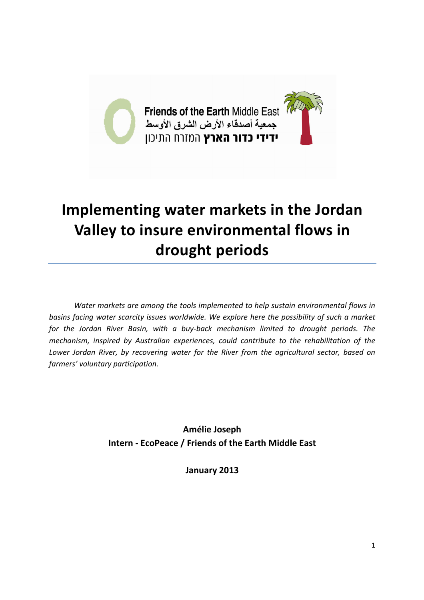

# **Implementing water markets in the Jordan Valley to insure environmental flows in drought periods**

*Water markets are among the tools implemented to help sustain environmental flows in basins facing water scarcity issues worldwide. We explore here the possibility of such a market for the Jordan River Basin, with a buy-back mechanism limited to drought periods. The mechanism, inspired by Australian experiences, could contribute to the rehabilitation of the Lower Jordan River, by recovering water for the River from the agricultural sector, based on farmers' voluntary participation.* 

> **Amélie Joseph Intern - EcoPeace / Friends of the Earth Middle East**

> > **January 2013**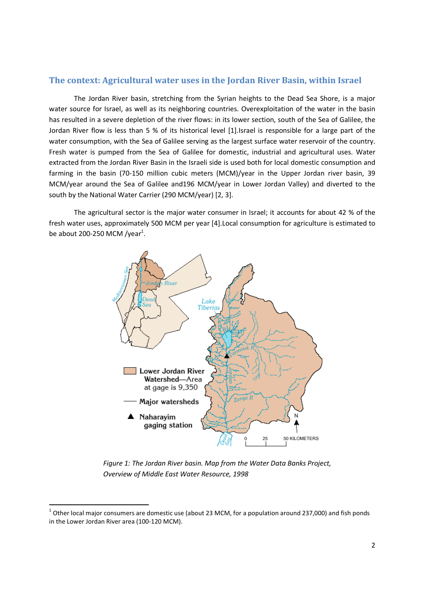## **The context: Agricultural water uses in the Jordan River Basin, within Israel**

The Jordan River basin, stretching from the Syrian heights to the Dead Sea Shore, is a major water source for Israel, as well as its neighboring countries. Overexploitation of the water in the basin has resulted in a severe depletion of the river flows: in its lower section, south of the Sea of Galilee, the Jordan River flow is less than 5 % of its historical level [1].Israel is responsible for a large part of the water consumption, with the Sea of Galilee serving as the largest surface water reservoir of the country. Fresh water is pumped from the Sea of Galilee for domestic, industrial and agricultural uses. Water extracted from the Jordan River Basin in the Israeli side is used both for local domestic consumption and farming in the basin (70-150 million cubic meters (MCM)/year in the Upper Jordan river basin, 39 MCM/year around the Sea of Galilee and196 MCM/year in Lower Jordan Valley) and diverted to the south by the National Water Carrier (290 MCM/year) [2, 3].

The agricultural sector is the major water consumer in Israel; it accounts for about 42 % of the fresh water uses, approximately 500 MCM per year [4].Local consumption for agriculture is estimated to be about 200-250 MCM /year $^1$ .



*Figure 1: The Jordan River basin. Map from the Water Data Banks Project, Overview of Middle East Water Resource, 1998* 

<u>.</u>

 $^1$  Other local major consumers are domestic use (about 23 MCM, for a population around 237,000) and fish ponds in the Lower Jordan River area (100-120 MCM).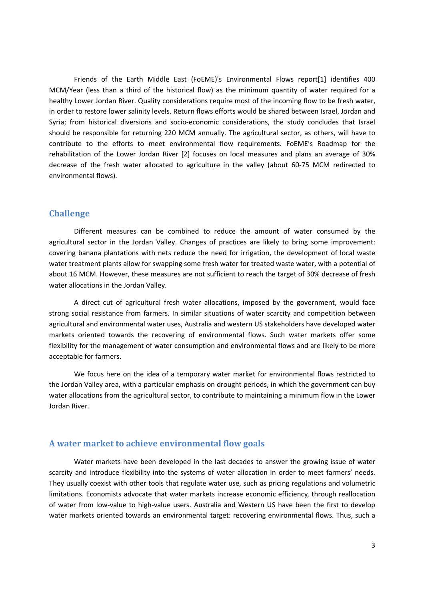Friends of the Earth Middle East (FoEME)'s Environmental Flows report[1] identifies 400 MCM/Year (less than a third of the historical flow) as the minimum quantity of water required for a healthy Lower Jordan River. Quality considerations require most of the incoming flow to be fresh water, in order to restore lower salinity levels. Return flows efforts would be shared between Israel, Jordan and Syria; from historical diversions and socio-economic considerations, the study concludes that Israel should be responsible for returning 220 MCM annually. The agricultural sector, as others, will have to contribute to the efforts to meet environmental flow requirements. FoEME's Roadmap for the rehabilitation of the Lower Jordan River [2] focuses on local measures and plans an average of 30% decrease of the fresh water allocated to agriculture in the valley (about 60-75 MCM redirected to environmental flows).

#### **Challenge**

Different measures can be combined to reduce the amount of water consumed by the agricultural sector in the Jordan Valley. Changes of practices are likely to bring some improvement: covering banana plantations with nets reduce the need for irrigation, the development of local waste water treatment plants allow for swapping some fresh water for treated waste water, with a potential of about 16 MCM. However, these measures are not sufficient to reach the target of 30% decrease of fresh water allocations in the Jordan Valley.

A direct cut of agricultural fresh water allocations, imposed by the government, would face strong social resistance from farmers. In similar situations of water scarcity and competition between agricultural and environmental water uses, Australia and western US stakeholders have developed water markets oriented towards the recovering of environmental flows. Such water markets offer some flexibility for the management of water consumption and environmental flows and are likely to be more acceptable for farmers.

We focus here on the idea of a temporary water market for environmental flows restricted to the Jordan Valley area, with a particular emphasis on drought periods, in which the government can buy water allocations from the agricultural sector, to contribute to maintaining a minimum flow in the Lower Jordan River.

#### **A water market to achieve environmental flow goals**

Water markets have been developed in the last decades to answer the growing issue of water scarcity and introduce flexibility into the systems of water allocation in order to meet farmers' needs. They usually coexist with other tools that regulate water use, such as pricing regulations and volumetric limitations. Economists advocate that water markets increase economic efficiency, through reallocation of water from low-value to high-value users. Australia and Western US have been the first to develop water markets oriented towards an environmental target: recovering environmental flows. Thus, such a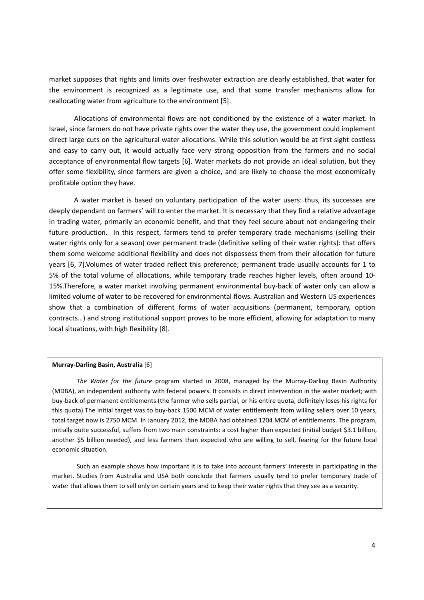market supposes that rights and limits over freshwater extraction are clearly established, that water for the environment is recognized as a legitimate use, and that some transfer mechanisms allow for reallocating water from agriculture to the environment [5].

Allocations of environmental flows are not conditioned by the existence of a water market. In Israel, since farmers do not have private rights over the water they use, the government could implement direct large cuts on the agricultural water allocations. While this solution would be at first sight costless and easy to carry out, it would actually face very strong opposition from the farmers and no social acceptance of environmental flow targets [6]. Water markets do not provide an ideal solution, but they offer some flexibility, since farmers are given a choice, and are likely to choose the most economically profitable option they have.

A water market is based on voluntary participation of the water users: thus, its successes are deeply dependant on farmers' will to enter the market. It is necessary that they find a relative advantage in trading water, primarily an economic benefit, and that they feel secure about not endangering their future production. In this respect, farmers tend to prefer temporary trade mechanisms (selling their water rights only for a season) over permanent trade (definitive selling of their water rights): that offers them some welcome additional flexibility and does not dispossess them from their allocation for future years [6, 7].Volumes of water traded reflect this preference; permanent trade usually accounts for 1 to 5% of the total volume of allocations, while temporary trade reaches higher levels, often around 10- 15%.Therefore, a water market involving permanent environmental buy-back of water only can allow a limited volume of water to be recovered for environmental flows. Australian and Western US experiences show that a combination of different forms of water acquisitions (permanent, temporary, option contracts…) and strong institutional support proves to be more efficient, allowing for adaptation to many local situations, with high flexibility [8].

#### **Murray-Darling Basin, Australia** [6]

*The Water for the future* program started in 2008, managed by the Murray-Darling Basin Authority (MDBA), an independent authority with federal powers. It consists in direct intervention in the water market; with buy-back of permanent entitlements (the farmer who sells partial, or his entire quota, definitely loses his rights for this quota).The initial target was to buy-back 1500 MCM of water entitlements from willing sellers over 10 years, total target now is 2750 MCM. In January 2012, the MDBA had obtained 1204 MCM of entitlements. The program, initially quite successful, suffers from two main constraints: a cost higher than expected (initial budget \$3.1 billion, another \$5 billion needed), and less farmers than expected who are willing to sell, fearing for the future local economic situation.

Such an example shows how important it is to take into account farmers' interests in participating in the market. Studies from Australia and USA both conclude that farmers usually tend to prefer temporary trade of water that allows them to sell only on certain years and to keep their water rights that they see as a security.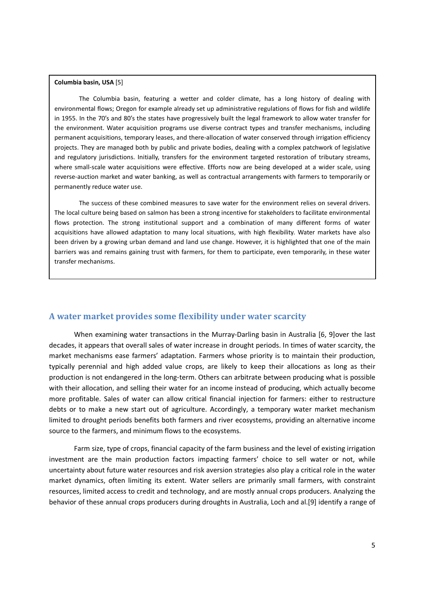#### **Columbia basin, USA** [5]

The Columbia basin, featuring a wetter and colder climate, has a long history of dealing with environmental flows; Oregon for example already set up administrative regulations of flows for fish and wildlife in 1955. In the 70's and 80's the states have progressively built the legal framework to allow water transfer for the environment. Water acquisition programs use diverse contract types and transfer mechanisms, including permanent acquisitions, temporary leases, and there-allocation of water conserved through irrigation efficiency projects. They are managed both by public and private bodies, dealing with a complex patchwork of legislative and regulatory jurisdictions. Initially, transfers for the environment targeted restoration of tributary streams, where small-scale water acquisitions were effective. Efforts now are being developed at a wider scale, using reverse-auction market and water banking, as well as contractual arrangements with farmers to temporarily or permanently reduce water use.

The success of these combined measures to save water for the environment relies on several drivers. The local culture being based on salmon has been a strong incentive for stakeholders to facilitate environmental flows protection. The strong institutional support and a combination of many different forms of water acquisitions have allowed adaptation to many local situations, with high flexibility. Water markets have also been driven by a growing urban demand and land use change. However, it is highlighted that one of the main barriers was and remains gaining trust with farmers, for them to participate, even temporarily, in these water transfer mechanisms.

#### **A water market provides some flexibility under water scarcity**

When examining water transactions in the Murray-Darling basin in Australia [6, 9]over the last decades, it appears that overall sales of water increase in drought periods. In times of water scarcity, the market mechanisms ease farmers' adaptation. Farmers whose priority is to maintain their production, typically perennial and high added value crops, are likely to keep their allocations as long as their production is not endangered in the long-term. Others can arbitrate between producing what is possible with their allocation, and selling their water for an income instead of producing, which actually become more profitable. Sales of water can allow critical financial injection for farmers: either to restructure debts or to make a new start out of agriculture. Accordingly, a temporary water market mechanism limited to drought periods benefits both farmers and river ecosystems, providing an alternative income source to the farmers, and minimum flows to the ecosystems.

Farm size, type of crops, financial capacity of the farm business and the level of existing irrigation investment are the main production factors impacting farmers' choice to sell water or not, while uncertainty about future water resources and risk aversion strategies also play a critical role in the water market dynamics, often limiting its extent. Water sellers are primarily small farmers, with constraint resources, limited access to credit and technology, and are mostly annual crops producers. Analyzing the behavior of these annual crops producers during droughts in Australia, Loch and al.[9] identify a range of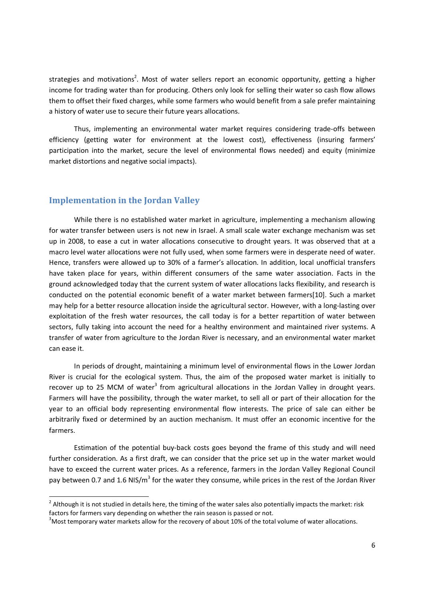strategies and motivations<sup>2</sup>. Most of water sellers report an economic opportunity, getting a higher income for trading water than for producing. Others only look for selling their water so cash flow allows them to offset their fixed charges, while some farmers who would benefit from a sale prefer maintaining a history of water use to secure their future years allocations.

Thus, implementing an environmental water market requires considering trade-offs between efficiency (getting water for environment at the lowest cost), effectiveness (insuring farmers' participation into the market, secure the level of environmental flows needed) and equity (minimize market distortions and negative social impacts).

## **Implementation in the Jordan Valley**

<u>.</u>

While there is no established water market in agriculture, implementing a mechanism allowing for water transfer between users is not new in Israel. A small scale water exchange mechanism was set up in 2008, to ease a cut in water allocations consecutive to drought years. It was observed that at a macro level water allocations were not fully used, when some farmers were in desperate need of water. Hence, transfers were allowed up to 30% of a farmer's allocation. In addition, local unofficial transfers have taken place for years, within different consumers of the same water association. Facts in the ground acknowledged today that the current system of water allocations lacks flexibility, and research is conducted on the potential economic benefit of a water market between farmers[10]. Such a market may help for a better resource allocation inside the agricultural sector. However, with a long-lasting over exploitation of the fresh water resources, the call today is for a better repartition of water between sectors, fully taking into account the need for a healthy environment and maintained river systems. A transfer of water from agriculture to the Jordan River is necessary, and an environmental water market can ease it.

 In periods of drought, maintaining a minimum level of environmental flows in the Lower Jordan River is crucial for the ecological system. Thus, the aim of the proposed water market is initially to recover up to 25 MCM of water<sup>3</sup> from agricultural allocations in the Jordan Valley in drought years. Farmers will have the possibility, through the water market, to sell all or part of their allocation for the year to an official body representing environmental flow interests. The price of sale can either be arbitrarily fixed or determined by an auction mechanism. It must offer an economic incentive for the farmers.

Estimation of the potential buy-back costs goes beyond the frame of this study and will need further consideration. As a first draft, we can consider that the price set up in the water market would have to exceed the current water prices. As a reference, farmers in the Jordan Valley Regional Council pay between 0.7 and 1.6 NIS/m<sup>3</sup> for the water they consume, while prices in the rest of the Jordan River

<sup>&</sup>lt;sup>2</sup> Although it is not studied in details here, the timing of the water sales also potentially impacts the market: risk factors for farmers vary depending on whether the rain season is passed or not.

<sup>3</sup>Most temporary water markets allow for the recovery of about 10% of the total volume of water allocations.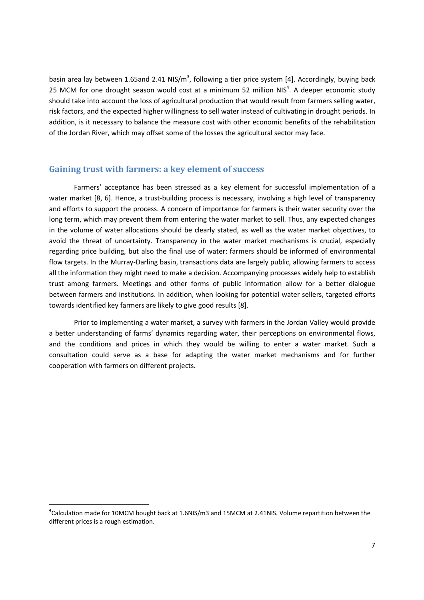basin area lay between 1.65and 2.41 NIS/m<sup>3</sup>, following a tier price system [4]. Accordingly, buying back 25 MCM for one drought season would cost at a minimum 52 million NIS $4$ . A deeper economic study should take into account the loss of agricultural production that would result from farmers selling water, risk factors, and the expected higher willingness to sell water instead of cultivating in drought periods. In addition, is it necessary to balance the measure cost with other economic benefits of the rehabilitation of the Jordan River, which may offset some of the losses the agricultural sector may face.

#### **Gaining trust with farmers: a key element of success**

 Farmers' acceptance has been stressed as a key element for successful implementation of a water market [8, 6]. Hence, a trust-building process is necessary, involving a high level of transparency and efforts to support the process. A concern of importance for farmers is their water security over the long term, which may prevent them from entering the water market to sell. Thus, any expected changes in the volume of water allocations should be clearly stated, as well as the water market objectives, to avoid the threat of uncertainty. Transparency in the water market mechanisms is crucial, especially regarding price building, but also the final use of water: farmers should be informed of environmental flow targets. In the Murray-Darling basin, transactions data are largely public, allowing farmers to access all the information they might need to make a decision. Accompanying processes widely help to establish trust among farmers. Meetings and other forms of public information allow for a better dialogue between farmers and institutions. In addition, when looking for potential water sellers, targeted efforts towards identified key farmers are likely to give good results [8].

 Prior to implementing a water market, a survey with farmers in the Jordan Valley would provide a better understanding of farms' dynamics regarding water, their perceptions on environmental flows, and the conditions and prices in which they would be willing to enter a water market. Such a consultation could serve as a base for adapting the water market mechanisms and for further cooperation with farmers on different projects.

<u>.</u>

 ${}^{4}$ Calculation made for 10MCM bought back at 1.6NIS/m3 and 15MCM at 2.41NIS. Volume repartition between the different prices is a rough estimation.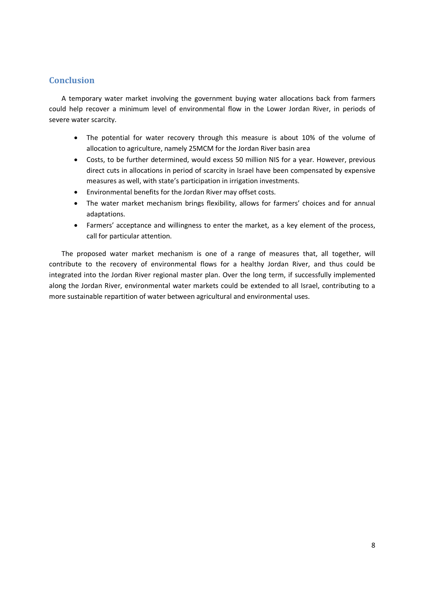# **Conclusion**

A temporary water market involving the government buying water allocations back from farmers could help recover a minimum level of environmental flow in the Lower Jordan River, in periods of severe water scarcity.

- The potential for water recovery through this measure is about 10% of the volume of allocation to agriculture, namely 25MCM for the Jordan River basin area
- Costs, to be further determined, would excess 50 million NIS for a year. However, previous direct cuts in allocations in period of scarcity in Israel have been compensated by expensive measures as well, with state's participation in irrigation investments.
- Environmental benefits for the Jordan River may offset costs.
- The water market mechanism brings flexibility, allows for farmers' choices and for annual adaptations.
- Farmers' acceptance and willingness to enter the market, as a key element of the process, call for particular attention.

The proposed water market mechanism is one of a range of measures that, all together, will contribute to the recovery of environmental flows for a healthy Jordan River, and thus could be integrated into the Jordan River regional master plan. Over the long term, if successfully implemented along the Jordan River, environmental water markets could be extended to all Israel, contributing to a more sustainable repartition of water between agricultural and environmental uses.